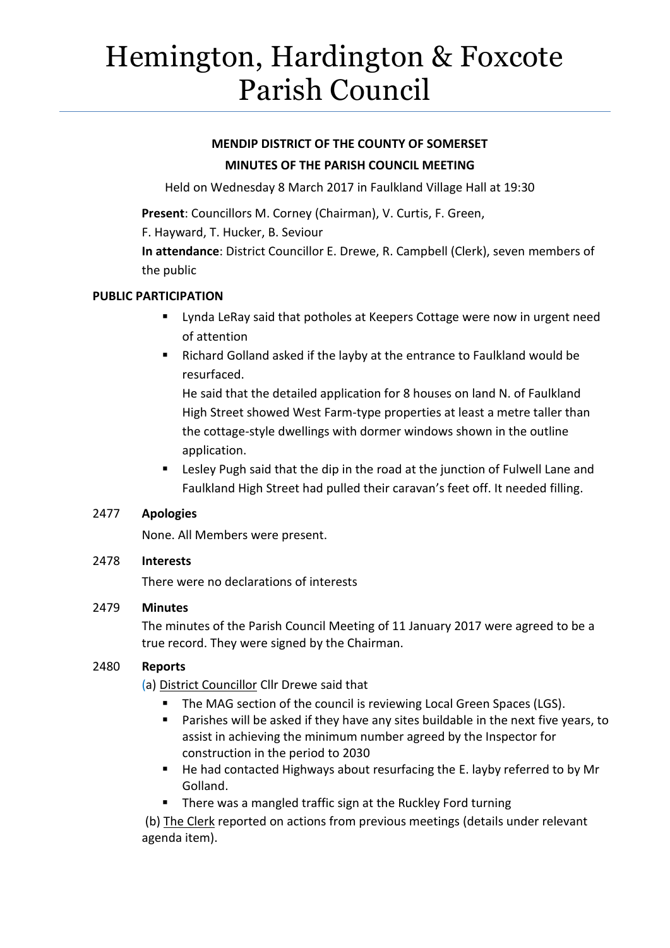# Hemington, Hardington & Foxcote Parish Council

# **MENDIP DISTRICT OF THE COUNTY OF SOMERSET MINUTES OF THE PARISH COUNCIL MEETING**

Held on Wednesday 8 March 2017 in Faulkland Village Hall at 19:30

**Present**: Councillors M. Corney (Chairman), V. Curtis, F. Green,

F. Hayward, T. Hucker, B. Seviour

**In attendance**: District Councillor E. Drewe, R. Campbell (Clerk), seven members of the public

## **PUBLIC PARTICIPATION**

- **EXT** Lynda LeRay said that potholes at Keepers Cottage were now in urgent need of attention
- Richard Golland asked if the layby at the entrance to Faulkland would be resurfaced.

He said that the detailed application for 8 houses on land N. of Faulkland High Street showed West Farm-type properties at least a metre taller than the cottage-style dwellings with dormer windows shown in the outline application.

 Lesley Pugh said that the dip in the road at the junction of Fulwell Lane and Faulkland High Street had pulled their caravan's feet off. It needed filling.

# 2477 **Apologies**

None. All Members were present.

# 2478 **Interests**

There were no declarations of interests

# 2479 **Minutes**

The minutes of the Parish Council Meeting of 11 January 2017 were agreed to be a true record. They were signed by the Chairman.

# 2480 **Reports**

(a) District Councillor Cllr Drewe said that

- The MAG section of the council is reviewing Local Green Spaces (LGS).
- **Parishes will be asked if they have any sites buildable in the next five years, to** assist in achieving the minimum number agreed by the Inspector for construction in the period to 2030
- He had contacted Highways about resurfacing the E. layby referred to by Mr Golland.
- There was a mangled traffic sign at the Ruckley Ford turning

(b) The Clerk reported on actions from previous meetings (details under relevant agenda item).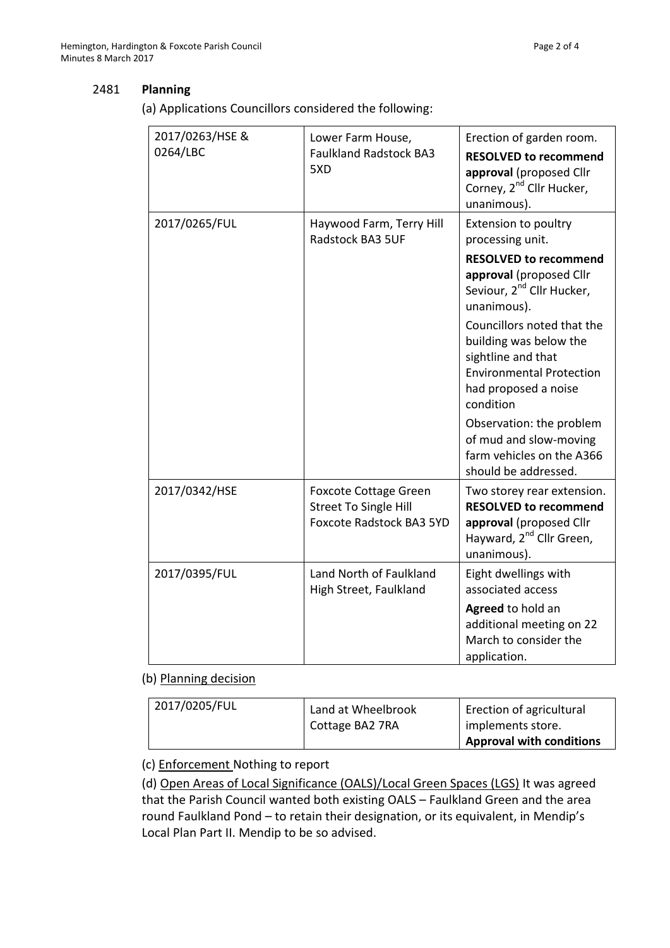#### 2481 **Planning**

(a) Applications Councillors considered the following:

| 2017/0263/HSE &<br>0264/LBC | Lower Farm House,<br><b>Faulkland Radstock BA3</b><br>5XD                                       | Erection of garden room.<br><b>RESOLVED to recommend</b><br>approval (proposed Cllr<br>Corney, 2 <sup>nd</sup> Cllr Hucker,<br>unanimous).                  |
|-----------------------------|-------------------------------------------------------------------------------------------------|-------------------------------------------------------------------------------------------------------------------------------------------------------------|
| 2017/0265/FUL               | Haywood Farm, Terry Hill<br>Radstock BA3 5UF                                                    | Extension to poultry<br>processing unit.<br><b>RESOLVED to recommend</b><br>approval (proposed Cllr<br>Seviour, 2 <sup>nd</sup> Cllr Hucker,<br>unanimous). |
|                             |                                                                                                 | Councillors noted that the<br>building was below the<br>sightline and that<br><b>Environmental Protection</b><br>had proposed a noise<br>condition          |
|                             |                                                                                                 | Observation: the problem<br>of mud and slow-moving<br>farm vehicles on the A366<br>should be addressed.                                                     |
| 2017/0342/HSE               | <b>Foxcote Cottage Green</b><br><b>Street To Single Hill</b><br><b>Foxcote Radstock BA3 5YD</b> | Two storey rear extension.<br><b>RESOLVED to recommend</b><br>approval (proposed Cllr<br>Hayward, 2 <sup>nd</sup> Cllr Green,<br>unanimous).                |
| 2017/0395/FUL               | Land North of Faulkland<br>High Street, Faulkland                                               | Eight dwellings with<br>associated access<br>Agreed to hold an<br>additional meeting on 22<br>March to consider the<br>application.                         |

#### (b) Planning decision

| 2017/0205/FUL | Land at Wheelbrook<br>Cottage BA2 7RA | Erection of agricultural<br>implements store. |
|---------------|---------------------------------------|-----------------------------------------------|
|               |                                       | <b>Approval with conditions</b>               |

#### (c) Enforcement Nothing to report

(d) Open Areas of Local Significance (OALS)/Local Green Spaces (LGS) It was agreed that the Parish Council wanted both existing OALS – Faulkland Green and the area round Faulkland Pond – to retain their designation, or its equivalent, in Mendip's Local Plan Part II. Mendip to be so advised.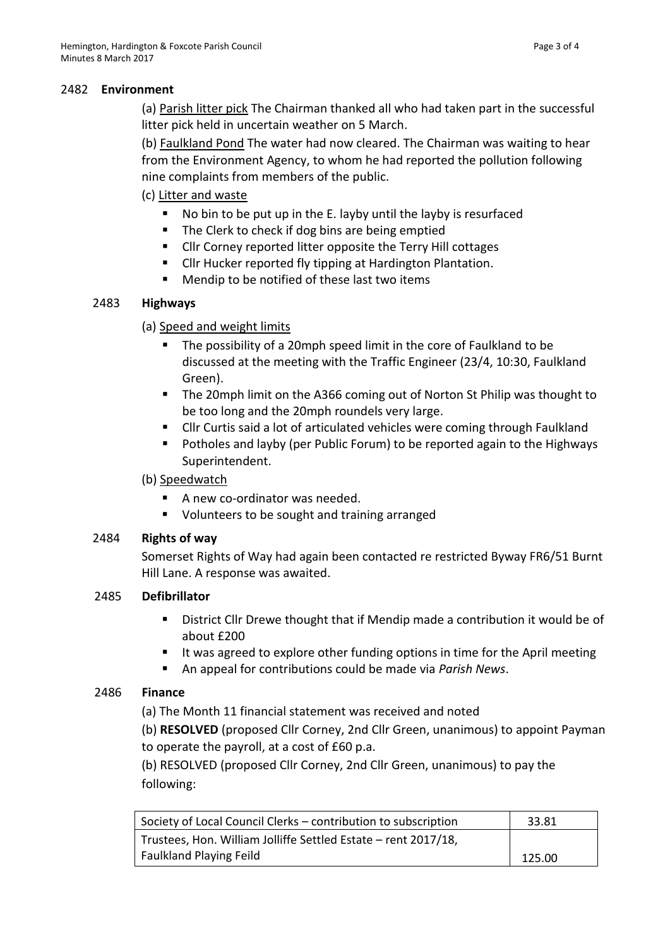#### 2482 **Environment**

(a) Parish litter pick The Chairman thanked all who had taken part in the successful litter pick held in uncertain weather on 5 March.

(b) Faulkland Pond The water had now cleared. The Chairman was waiting to hear from the Environment Agency, to whom he had reported the pollution following nine complaints from members of the public.

## (c) Litter and waste

- No bin to be put up in the E. layby until the layby is resurfaced
- The Clerk to check if dog bins are being emptied
- Cllr Corney reported litter opposite the Terry Hill cottages
- **EXECL** FURERT Cllr Hucker reported fly tipping at Hardington Plantation.
- Mendip to be notified of these last two items

## 2483 **Highways**

## (a) Speed and weight limits

- The possibility of a 20mph speed limit in the core of Faulkland to be discussed at the meeting with the Traffic Engineer (23/4, 10:30, Faulkland Green).
- The 20mph limit on the A366 coming out of Norton St Philip was thought to be too long and the 20mph roundels very large.
- Cllr Curtis said a lot of articulated vehicles were coming through Faulkland
- Potholes and layby (per Public Forum) to be reported again to the Highways Superintendent.

## (b) Speedwatch

- A new co-ordinator was needed.
- Volunteers to be sought and training arranged

## 2484 **Rights of way**

Somerset Rights of Way had again been contacted re restricted Byway FR6/51 Burnt Hill Lane. A response was awaited.

## 2485 **Defibrillator**

- District Cllr Drewe thought that if Mendip made a contribution it would be of about £200
- It was agreed to explore other funding options in time for the April meeting
- An appeal for contributions could be made via *Parish News*.

## 2486 **Finance**

(a) The Month 11 financial statement was received and noted

(b) **RESOLVED** (proposed Cllr Corney, 2nd Cllr Green, unanimous) to appoint Payman to operate the payroll, at a cost of £60 p.a.

(b) RESOLVED (proposed Cllr Corney, 2nd Cllr Green, unanimous) to pay the following:

| Society of Local Council Clerks - contribution to subscription | 33.81  |
|----------------------------------------------------------------|--------|
| Trustees, Hon. William Jolliffe Settled Estate – rent 2017/18, |        |
| <b>Faulkland Playing Feild</b>                                 | 125.00 |